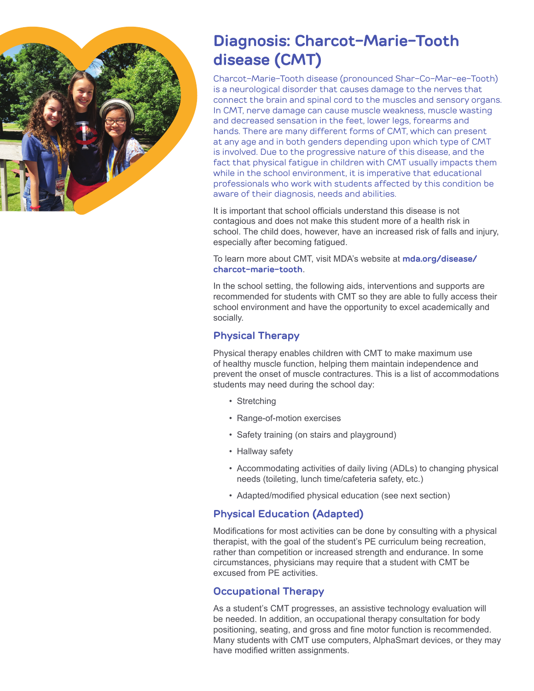

# **Diagnosis: Charcot-Marie-Tooth disease (CMT)**

Charcot-Marie-Tooth disease (pronounced Shar-Co-Mar-ee-Tooth) is a neurological disorder that causes damage to the nerves that connect the brain and spinal cord to the muscles and sensory organs. In CMT, nerve damage can cause muscle weakness, muscle wasting and decreased sensation in the feet, lower legs, forearms and hands. There are many different forms of CMT, which can present at any age and in both genders depending upon which type of CMT is involved. Due to the progressive nature of this disease, and the fact that physical fatigue in children with CMT usually impacts them while in the school environment, it is imperative that educational professionals who work with students affected by this condition be aware of their diagnosis, needs and abilities.

It is important that school officials understand this disease is not contagious and does not make this student more of a health risk in school. The child does, however, have an increased risk of falls and injury, especially after becoming fatigued.

To learn more about CMT, visit MDA's website at **mda.org/disease/ charcot-marie-tooth**.

In the school setting, the following aids, interventions and supports are recommended for students with CMT so they are able to fully access their school environment and have the opportunity to excel academically and socially.

## **Physical Therapy**

Physical therapy enables children with CMT to make maximum use of healthy muscle function, helping them maintain independence and prevent the onset of muscle contractures. This is a list of accommodations students may need during the school day:

- Stretching
- Range-of-motion exercises
- Safety training (on stairs and playground)
- Hallway safety
- Accommodating activities of daily living (ADLs) to changing physical needs (toileting, lunch time/cafeteria safety, etc.)
- Adapted/modified physical education (see next section)

## **Physical Education (Adapted)**

Modifications for most activities can be done by consulting with a physical therapist, with the goal of the student's PE curriculum being recreation, rather than competition or increased strength and endurance. In some circumstances, physicians may require that a student with CMT be excused from PE activities.

#### **Occupational Therapy**

As a student's CMT progresses, an assistive technology evaluation will be needed. In addition, an occupational therapy consultation for body positioning, seating, and gross and fine motor function is recommended. Many students with CMT use computers, AlphaSmart devices, or they may have modified written assignments.